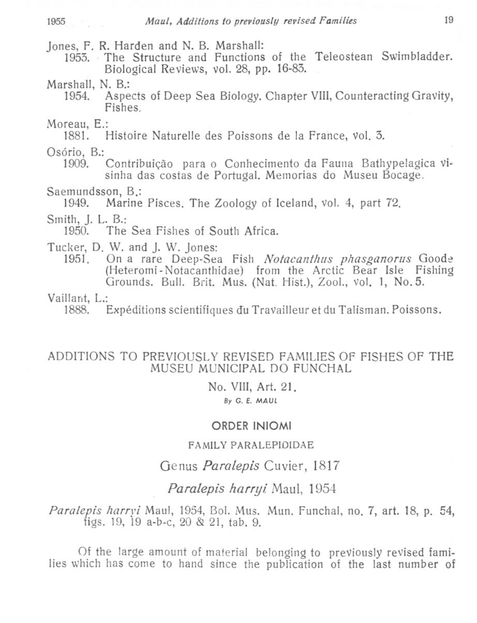Jones, F. R. Harden and N. B. Marshall:

- 1953. The Structure and Functions of the Teleostean Swimbladder. Biological Reviews, vol. 28, pp. 16-83.
- Marshall, N. B.:
	- Aspects of Deep Sea Biology, Chapter VIII, Counteracting Gravity, 1954 Fishes
- Moreau, E.:

1881. Histoire Naturelle des Poissons de la France, vol. 3.

Osório, B.:

1909 Contribuição para o Conhecimento da Fauna Bathypelagica visinha das costas de Portugal. Memorias do Museu Bocage.

Saemundsson, B.:

Marine Pisces. The Zoology of Iceland, vol. 4, part 72. 1949.

Smith, J. L. B.:

1950. The Sea Fishes of South Africa.

Tucker, D. W. and J. W. Jones:

On a rare Deep-Sea Fish Notacanthus phasganorus Goode 1951 (Heteromi-Notacanthidae) from the Arctic Bear Isle Fishing Grounds. Bull. Brit. Mus. (Nat. Hist.), Zool., vol. 1, No. 5.

Vaillant, L.:

1888. Expéditions scientifiques du Travailleur et du Talisman, Poissons.

## ADDITIONS TO PREVIOUSLY REVISED FAMILIES OF FISHES OF THE MUSEU MUNICIPAL DO FUNCHAL

### No. VIII, Art. 21. By G. E. MAUL

### ORDER INIOMI

### FAMILY PARALEPIDIDAE

# Genus Paralepis Cuvier, 1817

# Paralepis harryi Maul, 1954

Paralepis harryi Maul, 1954, Bol. Mus. Mun. Funchal, no. 7, art. 18, p. 54, figs. 19, 19 a-b-c,  $20 \& 21$ , tab. 9.

Of the large amount of material belonging to previously revised families which has come to hand since the publication of the last number of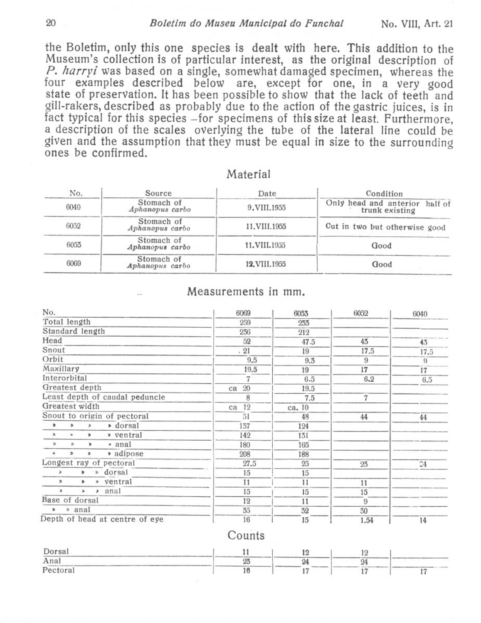#### Boletim do Museu Municipal do Funchal

the Boletim, only this one species is dealt with here. This addition to the Museum's collection is of particular interest, as the original description of P. harryi was based on a single, somewhat damaged specimen, whereas the four examples described below are, except for one, in a very good state of preservation. It has been possible to show that the lack of teeth and gill-rakers, described as probably due to the action of the gastric juices, is in fact typical for this species - for specimens of this size at least. Furthermore, a description of the scales overlying the tube of the lateral line could be given and the assumption that they must be equal in size to the surrounding ones be confirmed.

| No.  | Source                        | Date          | Condition                                        |  |  |
|------|-------------------------------|---------------|--------------------------------------------------|--|--|
| 6040 | Stomach of<br>Aphanopus carbo | 9.VIII.1955   | Only head and anterior half of<br>trunk existing |  |  |
| 6052 | Stomach of<br>Aphanopus carbo | 11.VIII.1955  | Cut in two but otherwise good                    |  |  |
| 6053 | Stomach of<br>Aphanopus carbo | 11.VIII.1955  | Good                                             |  |  |
| 6069 | Stomach of<br>Aphanopus carbo | 12. VIII.1955 | Good                                             |  |  |

### Material

#### Measurements in mm.

| No.                                        | 6069     | 6053   | 6052 | 6040      |
|--------------------------------------------|----------|--------|------|-----------|
| Total length                               | 259      | 233    |      |           |
| Standard length                            | 236      | 212    |      |           |
| Head                                       | 52       | 47.5   | 43   | 43        |
| Snout                                      | .21      | 19     | 17.5 | 17.5      |
| Orbit                                      | 9.5      | 9.3    | 9    | 9         |
| Maxillary                                  | 19.5     | 19     | 17   | 17        |
| Interorbital                               | 7        | 6.5    | 6.2  | 6.5       |
| Greatest depth                             | 20<br>ca | 19.5   |      |           |
| Least depth of caudal peduncle             | 8        | 7.5    | 7    |           |
| Greatest width                             | 12<br>ca | ca. 10 |      |           |
| Snout to origin of pectoral                | 51       | 48     | 44   | 44        |
| » dorsal<br>$\,$<br>b<br>$\lambda$         | 137      | 124    |      |           |
| $\mathcal{D}$<br>» ventral<br>$\,$<br>w.   | 142      | 131    |      |           |
| » anal<br>$\gg$<br>Yb.<br>$\mathbf{r}$     | 180      | 165    |      |           |
| • adipose<br>w<br>$\mathbbmss{D}$<br>D.    | 208      | 188    |      |           |
| Longest ray of pectoral                    | 27.5     | 25     | 23   | 24        |
| » dorsal<br>э<br>x                         | 15       | 15     |      |           |
| » ventral<br>$\mathcal{D}$<br>$\mathbf{r}$ | 11       | 11     | 11   |           |
| $\lambda$ anal<br>٠<br>¥                   | 15       | 15     | 15   |           |
| Base of dorsal                             | 12       | 11     | 9    |           |
| » anal<br>$\mathbf{r}$                     | 35       | 32     | 30   |           |
| Depth of head at centre of eve             | 16       | 15     | 1.54 | <b>1A</b> |

### Counts

| Dorsal                |    |    |    |  |
|-----------------------|----|----|----|--|
| Anal                  | o۹ | QJ | O. |  |
| toral<br>$P_{\theta}$ |    |    |    |  |